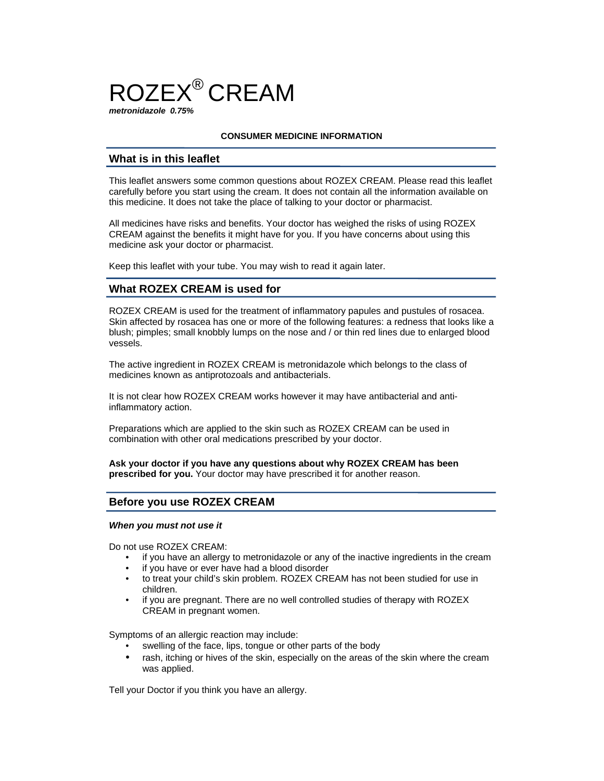

## **CONSUMER MEDICINE INFORMATION**

# **What is in this leaflet**

This leaflet answers some common questions about ROZEX CREAM. Please read this leaflet carefully before you start using the cream. It does not contain all the information available on this medicine. It does not take the place of talking to your doctor or pharmacist.

All medicines have risks and benefits. Your doctor has weighed the risks of using ROZEX CREAM against the benefits it might have for you. If you have concerns about using this medicine ask your doctor or pharmacist.

Keep this leaflet with your tube. You may wish to read it again later.

# **What ROZEX CREAM is used for**

ROZEX CREAM is used for the treatment of inflammatory papules and pustules of rosacea. Skin affected by rosacea has one or more of the following features: a redness that looks like a blush; pimples; small knobbly lumps on the nose and / or thin red lines due to enlarged blood vessels.

The active ingredient in ROZEX CREAM is metronidazole which belongs to the class of medicines known as antiprotozoals and antibacterials.

It is not clear how ROZEX CREAM works however it may have antibacterial and antiinflammatory action.

Preparations which are applied to the skin such as ROZEX CREAM can be used in combination with other oral medications prescribed by your doctor.

**Ask your doctor if you have any questions about why ROZEX CREAM has been prescribed for you.** Your doctor may have prescribed it for another reason.

# **Before you use ROZEX CREAM**

#### *When you must not use it*

Do not use ROZEX CREAM:

- if you have an allergy to metronidazole or any of the inactive ingredients in the cream
- if you have or ever have had a blood disorder
- to treat your child's skin problem. ROZEX CREAM has not been studied for use in children.
- if you are pregnant. There are no well controlled studies of therapy with ROZEX CREAM in pregnant women.

Symptoms of an allergic reaction may include:

- swelling of the face, lips, tongue or other parts of the body
- rash, itching or hives of the skin, especially on the areas of the skin where the cream was applied.

Tell your Doctor if you think you have an allergy.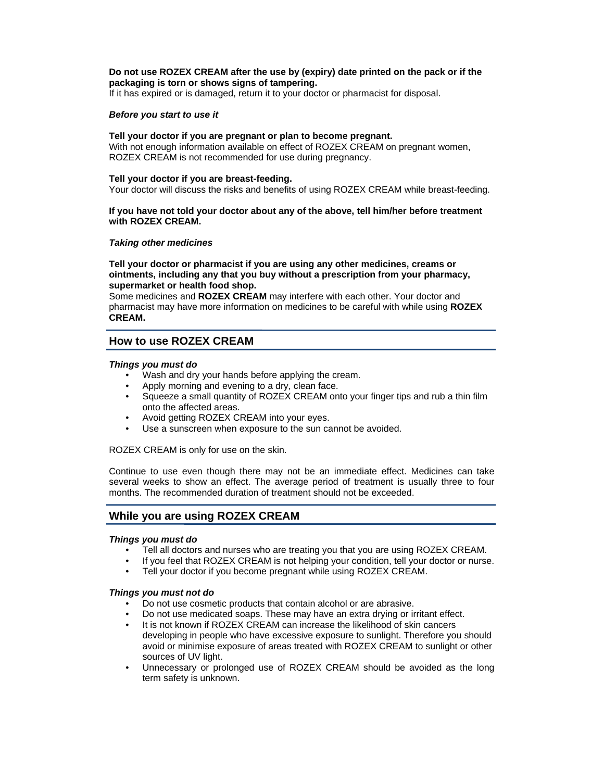## **Do not use ROZEX CREAM after the use by (expiry) date printed on the pack or if the packaging is torn or shows signs of tampering.**

If it has expired or is damaged, return it to your doctor or pharmacist for disposal.

### *Before you start to use it*

#### **Tell your doctor if you are pregnant or plan to become pregnant.**

With not enough information available on effect of ROZEX CREAM on pregnant women, ROZEX CREAM is not recommended for use during pregnancy.

#### **Tell your doctor if you are breast-feeding.**

Your doctor will discuss the risks and benefits of using ROZEX CREAM while breast-feeding.

### **If you have not told your doctor about any of the above, tell him/her before treatment with ROZEX CREAM.**

### *Taking other medicines*

**Tell your doctor or pharmacist if you are using any other medicines, creams or ointments, including any that you buy without a prescription from your pharmacy, supermarket or health food shop.** 

Some medicines and **ROZEX CREAM** may interfere with each other. Your doctor and pharmacist may have more information on medicines to be careful with while using **ROZEX CREAM.** 

# **How to use ROZEX CREAM**

### *Things you must do*

- Wash and dry your hands before applying the cream.
- Apply morning and evening to a dry, clean face.
- Squeeze a small quantity of ROZEX CREAM onto your finger tips and rub a thin film onto the affected areas.
- Avoid getting ROZEX CREAM into your eyes.
- Use a sunscreen when exposure to the sun cannot be avoided.

ROZEX CREAM is only for use on the skin.

Continue to use even though there may not be an immediate effect. Medicines can take several weeks to show an effect. The average period of treatment is usually three to four months. The recommended duration of treatment should not be exceeded.

# **While you are using ROZEX CREAM**

### *Things you must do*

- Tell all doctors and nurses who are treating you that you are using ROZEX CREAM.
- If you feel that ROZEX CREAM is not helping your condition, tell your doctor or nurse.
- Tell your doctor if you become pregnant while using ROZEX CREAM.

#### *Things you must not do*

- Do not use cosmetic products that contain alcohol or are abrasive.
- Do not use medicated soaps. These may have an extra drying or irritant effect.
- It is not known if ROZEX CREAM can increase the likelihood of skin cancers developing in people who have excessive exposure to sunlight. Therefore you should avoid or minimise exposure of areas treated with ROZEX CREAM to sunlight or other sources of UV light.
- Unnecessary or prolonged use of ROZEX CREAM should be avoided as the long term safety is unknown.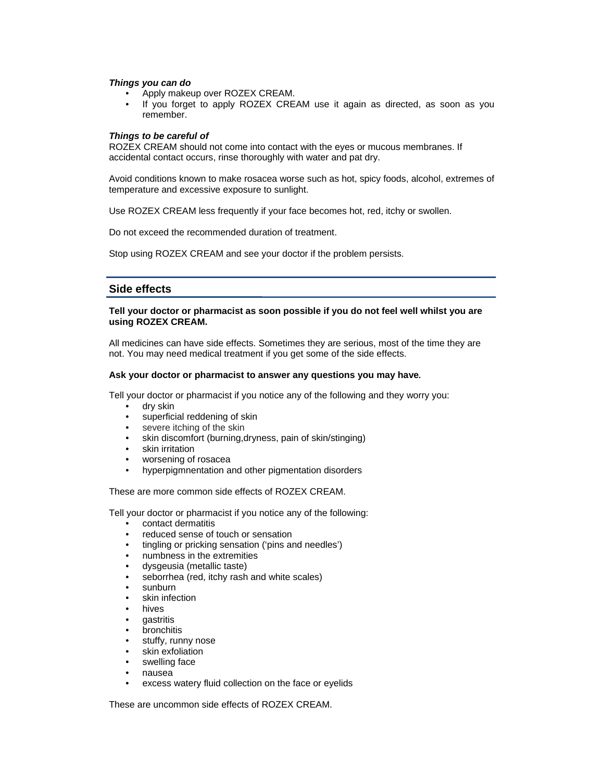#### *Things you can do*

- Apply makeup over ROZEX CREAM.
- If you forget to apply ROZEX CREAM use it again as directed, as soon as you remember.

## *Things to be careful of*

ROZEX CREAM should not come into contact with the eyes or mucous membranes. If accidental contact occurs, rinse thoroughly with water and pat dry.

Avoid conditions known to make rosacea worse such as hot, spicy foods, alcohol, extremes of temperature and excessive exposure to sunlight.

Use ROZEX CREAM less frequently if your face becomes hot, red, itchy or swollen.

Do not exceed the recommended duration of treatment.

Stop using ROZEX CREAM and see your doctor if the problem persists.

## **Side effects**

## **Tell your doctor or pharmacist as soon possible if you do not feel well whilst you are using ROZEX CREAM.**

All medicines can have side effects. Sometimes they are serious, most of the time they are not. You may need medical treatment if you get some of the side effects.

### **Ask your doctor or pharmacist to answer any questions you may have.**

Tell your doctor or pharmacist if you notice any of the following and they worry you:

- dry skin
- superficial reddening of skin
- severe itching of the skin
- skin discomfort (burning,dryness, pain of skin/stinging)
- skin irritation
- worsening of rosacea
- hyperpigmnentation and other pigmentation disorders

These are more common side effects of ROZEX CREAM.

Tell your doctor or pharmacist if you notice any of the following:

- contact dermatitis
- reduced sense of touch or sensation
- tingling or pricking sensation ('pins and needles')
- numbness in the extremities
- dysgeusia (metallic taste)
- seborrhea (red, itchy rash and white scales)
- sunburn
- skin infection
- hives
- **gastritis**
- **bronchitis**
- stuffy, runny nose
- skin exfoliation
- swelling face
- nausea
- excess watery fluid collection on the face or eyelids

These are uncommon side effects of ROZEX CREAM.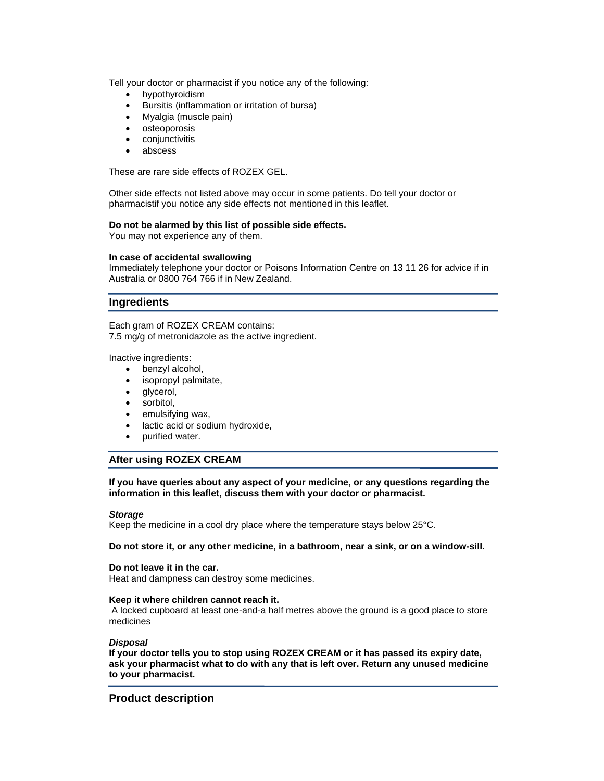Tell your doctor or pharmacist if you notice any of the following:

- hypothyroidism
- Bursitis (inflammation or irritation of bursa)
- Myalgia (muscle pain)
- osteoporosis
- conjunctivitis
- abscess

These are rare side effects of ROZEX GEL.

Other side effects not listed above may occur in some patients. Do tell your doctor or pharmacistif you notice any side effects not mentioned in this leaflet.

### **Do not be alarmed by this list of possible side effects.**

You may not experience any of them.

### **In case of accidental swallowing**

Immediately telephone your doctor or Poisons Information Centre on 13 11 26 for advice if in Australia or 0800 764 766 if in New Zealand.

## **Ingredients**

Each gram of ROZEX CREAM contains: 7.5 mg/g of metronidazole as the active ingredient.

Inactive ingredients:

- benzyl alcohol,
- isopropyl palmitate,
- glycerol,
- sorbitol,
- emulsifying wax,
- lactic acid or sodium hydroxide,
- purified water.

# **After using ROZEX CREAM**

**If you have queries about any aspect of your medicine, or any questions regarding the information in this leaflet, discuss them with your doctor or pharmacist.** 

#### *Storage*

Keep the medicine in a cool dry place where the temperature stays below 25°C.

#### **Do not store it, or any other medicine, in a bathroom, near a sink, or on a window-sill.**

#### **Do not leave it in the car.**

Heat and dampness can destroy some medicines.

#### **Keep it where children cannot reach it.**

A locked cupboard at least one-and-a half metres above the ground is a good place to store medicines

## *Disposal*

**If your doctor tells you to stop using ROZEX CREAM or it has passed its expiry date, ask your pharmacist what to do with any that is left over. Return any unused medicine to your pharmacist.**

# **Product description**